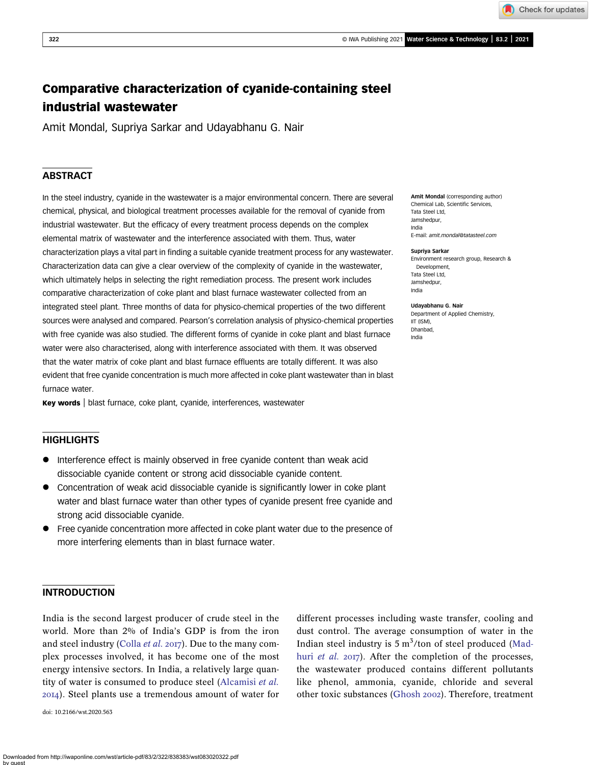Check for updates

# Comparative characterization of cyanide-containing steel industrial wastewater

Amit Mondal, Supriya Sarkar and Udayabhanu G. Nair

### **ABSTRACT**

In the steel industry, cyanide in the wastewater is a major environmental concern. There are several chemical, physical, and biological treatment processes available for the removal of cyanide from industrial wastewater. But the efficacy of every treatment process depends on the complex elemental matrix of wastewater and the interference associated with them. Thus, water characterization plays a vital part in finding a suitable cyanide treatment process for any wastewater. Characterization data can give a clear overview of the complexity of cyanide in the wastewater, which ultimately helps in selecting the right remediation process. The present work includes comparative characterization of coke plant and blast furnace wastewater collected from an integrated steel plant. Three months of data for physico-chemical properties of the two different sources were analysed and compared. Pearson's correlation analysis of physico-chemical properties with free cyanide was also studied. The different forms of cyanide in coke plant and blast furnace water were also characterised, along with interference associated with them. It was observed that the water matrix of coke plant and blast furnace effluents are totally different. It was also evident that free cyanide concentration is much more affected in coke plant wastewater than in blast furnace water

Key words | blast furnace, coke plant, cyanide, interferences, wastewater

### **HIGHLIGHTS**

- Interference effect is mainly observed in free cyanide content than weak acid dissociable cyanide content or strong acid dissociable cyanide content.
- Concentration of weak acid dissociable cyanide is significantly lower in coke plant water and blast furnace water than other types of cyanide present free cyanide and strong acid dissociable cyanide.
- Free cyanide concentration more affected in coke plant water due to the presence of more interfering elements than in blast furnace water.

### INTRODUCTION

India is the second largest producer of crude steel in the world. More than 2% of India's GDP is from the iron and steel industry [\(Colla](#page-8-0) et al. 2017). Due to the many complex processes involved, it has become one of the most energy intensive sectors. In India, a relatively large quantity of water is consumed to produce steel [\(Alcamisi](#page-7-0) et al. ). Steel plants use a tremendous amount of water for

doi: 10.2166/wst.2020.563

different processes including waste transfer, cooling and dust control. The average consumption of water in the Indian steel industry is  $5 \text{ m}^3$ /ton of steel produced ([Mad](#page-8-0)huri [et al.](#page-8-0) 2017). After the completion of the processes, the wastewater produced contains different pollutants like phenol, ammonia, cyanide, chloride and several other toxic substances ([Ghosh](#page-8-0) 2002). Therefore, treatment

Amit Mondal (corresponding author) Chemical Lab, Scientific Services, Tata Steel Ltd, Jamshedpur, India E-mail: [amit.mondal@tatasteel.com](mailto:amit.mondal@tatasteel.com)

#### Supriya Sarkar

Environment research group, Research & Development, Tata Steel Ltd, Jamshedpur, India

#### Udayabhanu G. Nair

Department of Applied Chemistry, IIT (ISM), Dhanbad, India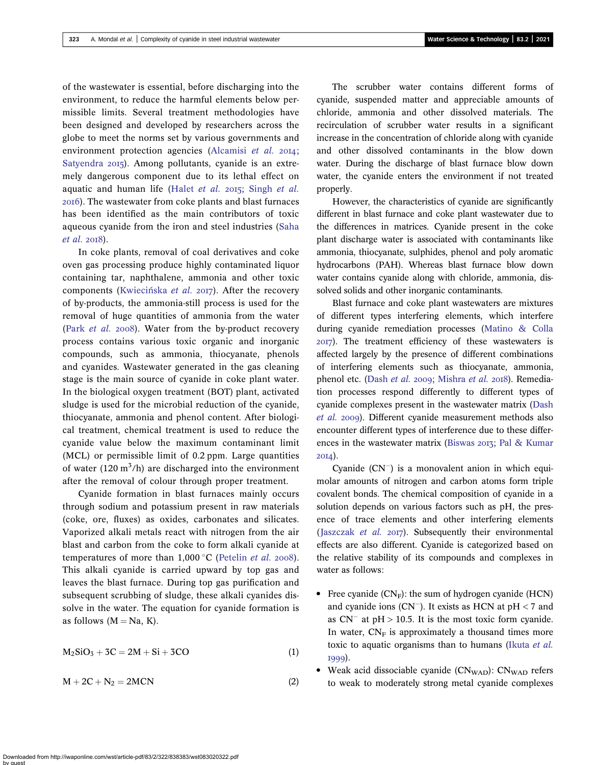of the wastewater is essential, before discharging into the environment, to reduce the harmful elements below permissible limits. Several treatment methodologies have been designed and developed by researchers across the globe to meet the norms set by various governments and environment protection agencies ([Alcamisi](#page-7-0) et al. 2014; [Satyendra](#page-8-0) 2015). Among pollutants, cyanide is an extremely dangerous component due to its lethal effect on aquatic and human life ([Halet](#page-8-0) et al.  $2015$ ; [Singh](#page-8-0) et al. ). The wastewater from coke plants and blast furnaces has been identified as the main contributors of toxic aqueous cyanide from the iron and steel industries [\(Saha](#page-8-0)  $et$  al. 2018).

In coke plants, removal of coal derivatives and coke oven gas processing produce highly contaminated liquor containing tar, naphthalene, ammonia and other toxic components (Kwiecińska et al. 2017). After the recovery of by-products, the ammonia-still process is used for the removal of huge quantities of ammonia from the water (Park [et al.](#page-8-0) 2008). Water from the by-product recovery process contains various toxic organic and inorganic compounds, such as ammonia, thiocyanate, phenols and cyanides. Wastewater generated in the gas cleaning stage is the main source of cyanide in coke plant water. In the biological oxygen treatment (BOT) plant, activated sludge is used for the microbial reduction of the cyanide, thiocyanate, ammonia and phenol content. After biological treatment, chemical treatment is used to reduce the cyanide value below the maximum contaminant limit (MCL) or permissible limit of 0.2 ppm. Large quantities of water (120  $\text{m}^3/\text{h}$ ) are discharged into the environment after the removal of colour through proper treatment.

Cyanide formation in blast furnaces mainly occurs through sodium and potassium present in raw materials (coke, ore, fluxes) as oxides, carbonates and silicates. Vaporized alkali metals react with nitrogen from the air blast and carbon from the coke to form alkali cyanide at temperatures of more than  $1,000 \degree C$  ([Petelin](#page-8-0) *et al.* 2008). This alkali cyanide is carried upward by top gas and leaves the blast furnace. During top gas purification and subsequent scrubbing of sludge, these alkali cyanides dissolve in the water. The equation for cyanide formation is as follows  $(M = Na, K)$ .

$$
M_2SiO_3 + 3C = 2M + Si + 3CO \tag{1}
$$

$$
M + 2C + N_2 = 2MCN \tag{2}
$$

The scrubber water contains different forms of cyanide, suspended matter and appreciable amounts of chloride, ammonia and other dissolved materials. The recirculation of scrubber water results in a significant increase in the concentration of chloride along with cyanide and other dissolved contaminants in the blow down water. During the discharge of blast furnace blow down water, the cyanide enters the environment if not treated properly.

However, the characteristics of cyanide are significantly different in blast furnace and coke plant wastewater due to the differences in matrices. Cyanide present in the coke plant discharge water is associated with contaminants like ammonia, thiocyanate, sulphides, phenol and poly aromatic hydrocarbons (PAH). Whereas blast furnace blow down water contains cyanide along with chloride, ammonia, dissolved solids and other inorganic contaminants.

Blast furnace and coke plant wastewaters are mixtures of different types interfering elements, which interfere during cyanide remediation processes [\(Matino & Colla](#page-8-0) ). The treatment efficiency of these wastewaters is affected largely by the presence of different combinations of interfering elements such as thiocyanate, ammonia, phenol etc. ([Dash](#page-8-0) et al. 2009, [Mishra](#page-8-0) et al. 2018). Remediation processes respond differently to different types of cyanide complexes present in the wastewater matrix ([Dash](#page-8-0) [et al.](#page-8-0) 2009). Different cyanide measurement methods also encounter different types of interference due to these differ-ences in the wastewater matrix ([Biswas](#page-8-0) 2013; [Pal & Kumar](#page-8-0) 2014).

Cyanide  $(CN^{-})$  is a monovalent anion in which equimolar amounts of nitrogen and carbon atoms form triple covalent bonds. The chemical composition of cyanide in a solution depends on various factors such as pH, the presence of trace elements and other interfering elements ([Jaszczak](#page-8-0) et al.  $2017$ ). Subsequently their environmental effects are also different. Cyanide is categorized based on the relative stability of its compounds and complexes in water as follows:

- Free cyanide  $(CN_F)$ : the sum of hydrogen cyanide (HCN) and cyanide ions (CN<sup>-</sup>). It exists as HCN at  $pH < 7$  and as  $CN^-$  at  $pH > 10.5$ . It is the most toxic form cyanide. In water,  $CN_F$  is approximately a thousand times more toxic to aquatic organisms than to humans [\(Ikuta](#page-8-0) et al. 1999).
- Weak acid dissociable cyanide  $(CN_{WAD})$ :  $CN_{WAD}$  refers to weak to moderately strong metal cyanide complexes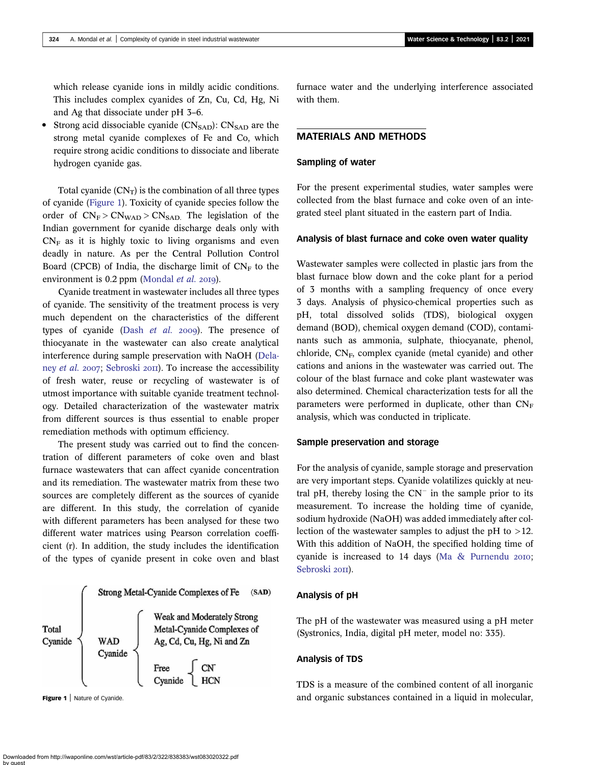which release cyanide ions in mildly acidic conditions. This includes complex cyanides of Zn, Cu, Cd, Hg, Ni and Ag that dissociate under pH 3–6.

• Strong acid dissociable cyanide  $(CN<sub>SAD</sub>)$ :  $CN<sub>SAD</sub>$  are the strong metal cyanide complexes of Fe and Co, which require strong acidic conditions to dissociate and liberate hydrogen cyanide gas.

Total cyanide  $(CN_T)$  is the combination of all three types of cyanide (Figure 1). Toxicity of cyanide species follow the order of  $CN_F > CN_{WAD} > CN_{SAD}$ . The legislation of the Indian government for cyanide discharge deals only with  $CN<sub>F</sub>$  as it is highly toxic to living organisms and even deadly in nature. As per the Central Pollution Control Board (CPCB) of India, the discharge limit of  $CN_F$  to the environment is  $0.2$  ppm [\(Mondal](#page-8-0) *et al.* 2019).

Cyanide treatment in wastewater includes all three types of cyanide. The sensitivity of the treatment process is very much dependent on the characteristics of the different types of cyanide (Dash *[et al.](#page-8-0)* 2009). The presence of thiocyanate in the wastewater can also create analytical interference during sample preservation with NaOH ([Dela](#page-8-0)ney [et al.](#page-8-0) 2007; [Sebroski](#page-8-0) 2011). To increase the accessibility of fresh water, reuse or recycling of wastewater is of utmost importance with suitable cyanide treatment technology. Detailed characterization of the wastewater matrix from different sources is thus essential to enable proper remediation methods with optimum efficiency.

The present study was carried out to find the concentration of different parameters of coke oven and blast furnace wastewaters that can affect cyanide concentration and its remediation. The wastewater matrix from these two sources are completely different as the sources of cyanide are different. In this study, the correlation of cyanide with different parameters has been analysed for these two different water matrices using Pearson correlation coefficient (r). In addition, the study includes the identification of the types of cyanide present in coke oven and blast



furnace water and the underlying interference associated with them.

### MATERIALS AND METHODS

#### Sampling of water

For the present experimental studies, water samples were collected from the blast furnace and coke oven of an integrated steel plant situated in the eastern part of India.

#### Analysis of blast furnace and coke oven water quality

Wastewater samples were collected in plastic jars from the blast furnace blow down and the coke plant for a period of 3 months with a sampling frequency of once every 3 days. Analysis of physico-chemical properties such as pH, total dissolved solids (TDS), biological oxygen demand (BOD), chemical oxygen demand (COD), contaminants such as ammonia, sulphate, thiocyanate, phenol, chloride, CN<sub>F</sub>, complex cyanide (metal cyanide) and other cations and anions in the wastewater was carried out. The colour of the blast furnace and coke plant wastewater was also determined. Chemical characterization tests for all the parameters were performed in duplicate, other than  $CN_F$ analysis, which was conducted in triplicate.

#### Sample preservation and storage

For the analysis of cyanide, sample storage and preservation are very important steps. Cyanide volatilizes quickly at neutral pH, thereby losing the  $CN^-$  in the sample prior to its measurement. To increase the holding time of cyanide, sodium hydroxide (NaOH) was added immediately after collection of the wastewater samples to adjust the pH to >12. With this addition of NaOH, the specified holding time of cyanide is increased to  $14$  days [\(Ma & Purnendu](#page-8-0) 2010; [Sebroski](#page-8-0) 2011).

#### Analysis of pH

The pH of the wastewater was measured using a pH meter (Systronics, India, digital pH meter, model no: 335).

### Analysis of TDS

TDS is a measure of the combined content of all inorganic Figure 1 | Nature of Cyanide. And **State 2 and State 2 and State 2 and Organic substances contained in a liquid in molecular,**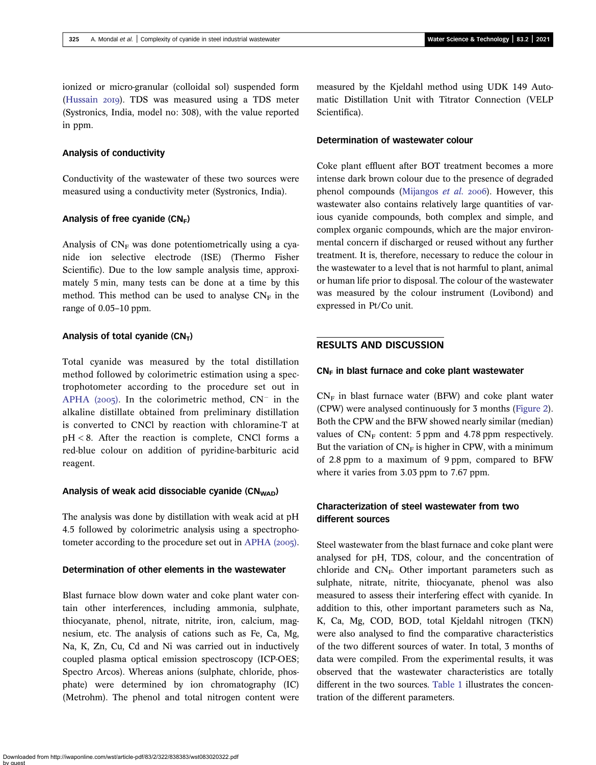ionized or micro-granular (colloidal sol) suspended form [\(Hussain](#page-8-0) 2019). TDS was measured using a TDS meter (Systronics, India, model no: 308), with the value reported in ppm.

### Analysis of conductivity

Conductivity of the wastewater of these two sources were measured using a conductivity meter (Systronics, India).

#### Analysis of free cyanide  $(CN_F)$

Analysis of  $CN_F$  was done potentiometrically using a cyanide ion selective electrode (ISE) (Thermo Fisher Scientific). Due to the low sample analysis time, approximately 5 min, many tests can be done at a time by this method. This method can be used to analyse  $CN_F$  in the range of 0.05–10 ppm.

#### Analysis of total cyanide  $(CN_T)$

Total cyanide was measured by the total distillation method followed by colorimetric estimation using a spectrophotometer according to the procedure set out in [APHA \(](#page-8-0)2005). In the colorimetric method,  $CN^-$  in the alkaline distillate obtained from preliminary distillation is converted to CNCl by reaction with chloramine-T at pH < 8. After the reaction is complete, CNCl forms a red-blue colour on addition of pyridine-barbituric acid reagent.

#### Analysis of weak acid dissociable cyanide  $(CN_{WAD})$

The analysis was done by distillation with weak acid at pH 4.5 followed by colorimetric analysis using a spectrophotometer according to the procedure set out in APHA  $(2005)$ .

### Determination of other elements in the wastewater

Blast furnace blow down water and coke plant water contain other interferences, including ammonia, sulphate, thiocyanate, phenol, nitrate, nitrite, iron, calcium, magnesium, etc. The analysis of cations such as Fe, Ca, Mg, Na, K, Zn, Cu, Cd and Ni was carried out in inductively coupled plasma optical emission spectroscopy (ICP-OES; Spectro Arcos). Whereas anions (sulphate, chloride, phosphate) were determined by ion chromatography (IC) (Metrohm). The phenol and total nitrogen content were

measured by the Kjeldahl method using UDK 149 Automatic Distillation Unit with Titrator Connection (VELP Scientifica).

#### Determination of wastewater colour

Coke plant effluent after BOT treatment becomes a more intense dark brown colour due to the presence of degraded phenol compounds [\(Mijangos](#page-8-0) et al. 2006). However, this wastewater also contains relatively large quantities of various cyanide compounds, both complex and simple, and complex organic compounds, which are the major environmental concern if discharged or reused without any further treatment. It is, therefore, necessary to reduce the colour in the wastewater to a level that is not harmful to plant, animal or human life prior to disposal. The colour of the wastewater was measured by the colour instrument (Lovibond) and expressed in Pt/Co unit.

### RESULTS AND DISCUSSION

#### $CN_F$  in blast furnace and coke plant wastewater

 $CN_F$  in blast furnace water (BFW) and coke plant water (CPW) were analysed continuously for 3 months [\(Figure 2\)](#page-4-0). Both the CPW and the BFW showed nearly similar (median) values of  $CN_F$  content: 5 ppm and 4.78 ppm respectively. But the variation of  $CN_F$  is higher in CPW, with a minimum of 2.8 ppm to a maximum of 9 ppm, compared to BFW where it varies from 3.03 ppm to 7.67 ppm.

# Characterization of steel wastewater from two different sources

Steel wastewater from the blast furnace and coke plant were analysed for pH, TDS, colour, and the concentration of chloride and  $CN_F$ . Other important parameters such as sulphate, nitrate, nitrite, thiocyanate, phenol was also measured to assess their interfering effect with cyanide. In addition to this, other important parameters such as Na, K, Ca, Mg, COD, BOD, total Kjeldahl nitrogen (TKN) were also analysed to find the comparative characteristics of the two different sources of water. In total, 3 months of data were compiled. From the experimental results, it was observed that the wastewater characteristics are totally different in the two sources. [Table 1](#page-5-0) illustrates the concentration of the different parameters.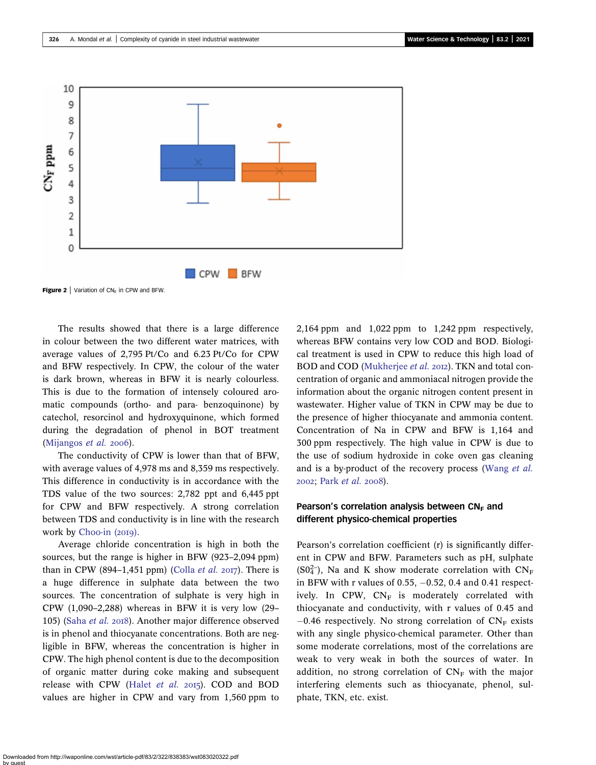<span id="page-4-0"></span>

**Figure 2** | Variation of  $CN_F$  in CPW and BFW.

The results showed that there is a large difference in colour between the two different water matrices, with average values of 2,795 Pt/Co and 6.23 Pt/Co for CPW and BFW respectively. In CPW, the colour of the water is dark brown, whereas in BFW it is nearly colourless. This is due to the formation of intensely coloured aromatic compounds (ortho- and para- benzoquinone) by catechol, resorcinol and hydroxyquinone, which formed during the degradation of phenol in BOT treatment ([Mijangos](#page-8-0) *et al.* 2006).

The conductivity of CPW is lower than that of BFW, with average values of 4,978 ms and 8,359 ms respectively. This difference in conductivity is in accordance with the TDS value of the two sources: 2,782 ppt and 6,445 ppt for CPW and BFW respectively. A strong correlation between TDS and conductivity is in line with the research work by Choo-in  $(2019)$ .

Average chloride concentration is high in both the sources, but the range is higher in BFW (923–2,094 ppm) than in CPW (894–1,451 ppm) ([Colla](#page-8-0) *et al.* 2017). There is a huge difference in sulphate data between the two sources. The concentration of sulphate is very high in CPW (1,090–2,288) whereas in BFW it is very low (29– 105) ([Saha](#page-8-0) et al. 2018). Another major difference observed is in phenol and thiocyanate concentrations. Both are negligible in BFW, whereas the concentration is higher in CPW. The high phenol content is due to the decomposition of organic matter during coke making and subsequent release with CPW ([Halet](#page-8-0) et al. 2015). COD and BOD values are higher in CPW and vary from 1,560 ppm to 2,164 ppm and 1,022 ppm to 1,242 ppm respectively, whereas BFW contains very low COD and BOD. Biological treatment is used in CPW to reduce this high load of BOD and COD [\(Mukherjee](#page-8-0) et al. 2012). TKN and total concentration of organic and ammoniacal nitrogen provide the information about the organic nitrogen content present in wastewater. Higher value of TKN in CPW may be due to the presence of higher thiocyanate and ammonia content. Concentration of Na in CPW and BFW is 1,164 and 300 ppm respectively. The high value in CPW is due to the use of sodium hydroxide in coke oven gas cleaning and is a by-product of the recovery process ([Wang](#page-8-0) et al. 2002; Park [et al.](#page-8-0) 2008).

### Pearson's correlation analysis between  $CN_F$  and different physico-chemical properties

Pearson's correlation coefficient (r) is significantly different in CPW and BFW. Parameters such as pH, sulphate ( $SO_4^{2-}$ ), Na and K show moderate correlation with  $CN_F$ in BFW with r values of 0.55,  $-0.52$ , 0.4 and 0.41 respectively. In CPW,  $CN_F$  is moderately correlated with thiocyanate and conductivity, with r values of 0.45 and  $-0.46$  respectively. No strong correlation of  $CN_F$  exists with any single physico-chemical parameter. Other than some moderate correlations, most of the correlations are weak to very weak in both the sources of water. In addition, no strong correlation of  $CN_F$  with the major interfering elements such as thiocyanate, phenol, sulphate, TKN, etc. exist.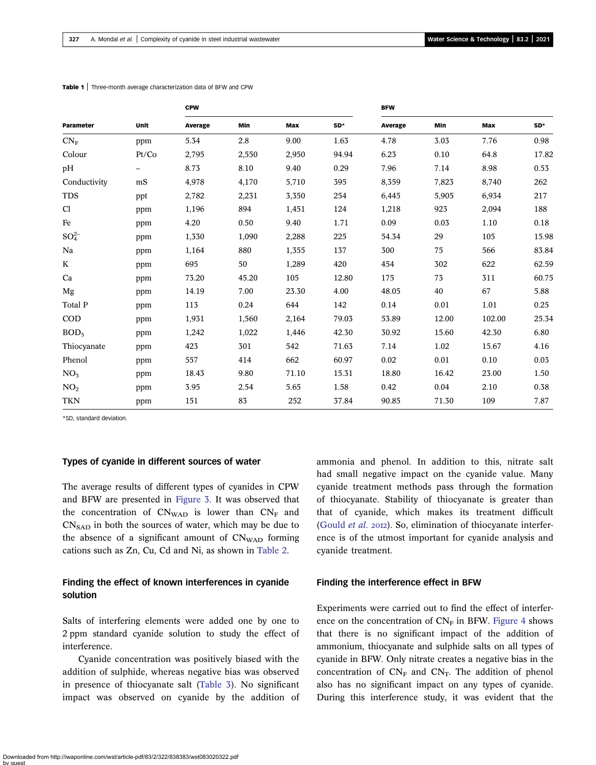| Parameter        | Unit  | <b>CPW</b> |       |       |       | <b>BFW</b> |       |        |       |
|------------------|-------|------------|-------|-------|-------|------------|-------|--------|-------|
|                  |       | Average    | Min   | Max   | SD*   | Average    | Min   | Max    | SD*   |
| $CN_F$           | ppm   | 5.34       | 2.8   | 9.00  | 1.63  | 4.78       | 3.03  | 7.76   | 0.98  |
| Colour           | Pt/Co | 2,795      | 2,550 | 2,950 | 94.94 | 6.23       | 0.10  | 64.8   | 17.82 |
| pH               |       | 8.73       | 8.10  | 9.40  | 0.29  | 7.96       | 7.14  | 8.98   | 0.53  |
| Conductivity     | mS    | 4,978      | 4,170 | 5,710 | 395   | 8,359      | 7,823 | 8,740  | 262   |
| <b>TDS</b>       | ppt   | 2,782      | 2,231 | 3,350 | 254   | 6,445      | 5,905 | 6,934  | 217   |
| Cl               | ppm   | 1,196      | 894   | 1,451 | 124   | 1,218      | 923   | 2,094  | 188   |
| Fe               | ppm   | 4.20       | 0.50  | 9.40  | 1.71  | 0.09       | 0.03  | 1.10   | 0.18  |
| $SO_4^{2-}$      | ppm   | 1,330      | 1,090 | 2,288 | 225   | 54.34      | 29    | 105    | 15.98 |
| Na               | ppm   | 1,164      | 880   | 1,355 | 137   | 300        | 75    | 566    | 83.84 |
| K                | ppm   | 695        | 50    | 1,289 | 420   | 454        | 302   | 622    | 62.59 |
| Ca               | ppm   | 73.20      | 45.20 | 105   | 12.80 | 175        | 73    | 311    | 60.75 |
| Mg               | ppm   | 14.19      | 7.00  | 23.30 | 4.00  | 48.05      | 40    | 67     | 5.88  |
| Total P          | ppm   | 113        | 0.24  | 644   | 142   | 0.14       | 0.01  | 1.01   | 0.25  |
| <b>COD</b>       | ppm   | 1,931      | 1,560 | 2,164 | 79.03 | 53.89      | 12.00 | 102.00 | 25.34 |
| BOD <sub>5</sub> | ppm   | 1,242      | 1,022 | 1,446 | 42.30 | 30.92      | 15.60 | 42.30  | 6.80  |
| Thiocyanate      | ppm   | 423        | 301   | 542   | 71.63 | 7.14       | 1.02  | 15.67  | 4.16  |
| Phenol           | ppm   | 557        | 414   | 662   | 60.97 | 0.02       | 0.01  | 0.10   | 0.03  |
| NO <sub>3</sub>  | ppm   | 18.43      | 9.80  | 71.10 | 15.31 | 18.80      | 16.42 | 23.00  | 1.50  |
| NO <sub>2</sub>  | ppm   | 3.95       | 2.54  | 5.65  | 1.58  | 0.42       | 0.04  | 2.10   | 0.38  |
| <b>TKN</b>       | ppm   | 151        | 83    | 252   | 37.84 | 90.85      | 71.30 | 109    | 7.87  |

<span id="page-5-0"></span>Table 1 | Three-month average characterization data of BFW and CPW

\*SD, standard deviation.

#### Types of cyanide in different sources of water

The average results of different types of cyanides in CPW and BFW are presented in [Figure 3](#page-6-0). It was observed that the concentration of  $CN<sub>WAD</sub>$  is lower than  $CN<sub>F</sub>$  and  $CN<sub>SAD</sub>$  in both the sources of water, which may be due to the absence of a significant amount of  $CN<sub>WAD</sub>$  forming cations such as Zn, Cu, Cd and Ni, as shown in [Table 2](#page-6-0).

### Finding the effect of known interferences in cyanide solution

Salts of interfering elements were added one by one to 2 ppm standard cyanide solution to study the effect of interference.

Cyanide concentration was positively biased with the addition of sulphide, whereas negative bias was observed in presence of thiocyanate salt [\(Table 3](#page-6-0)). No significant impact was observed on cyanide by the addition of ammonia and phenol. In addition to this, nitrate salt had small negative impact on the cyanide value. Many cyanide treatment methods pass through the formation of thiocyanate. Stability of thiocyanate is greater than that of cyanide, which makes its treatment difficult [\(Gould](#page-8-0) et al. 2012). So, elimination of thiocyanate interference is of the utmost important for cyanide analysis and cyanide treatment.

### Finding the interference effect in BFW

Experiments were carried out to find the effect of interference on the concentration of  $CN_F$  in BFW. [Figure 4](#page-7-0) shows that there is no significant impact of the addition of ammonium, thiocyanate and sulphide salts on all types of cyanide in BFW. Only nitrate creates a negative bias in the concentration of  $CN_F$  and  $CN_T$ . The addition of phenol also has no significant impact on any types of cyanide. During this interference study, it was evident that the

Downloaded from http://iwaponline.com/wst/article-pdf/83/2/322/838383/wst083020322.pdf by guest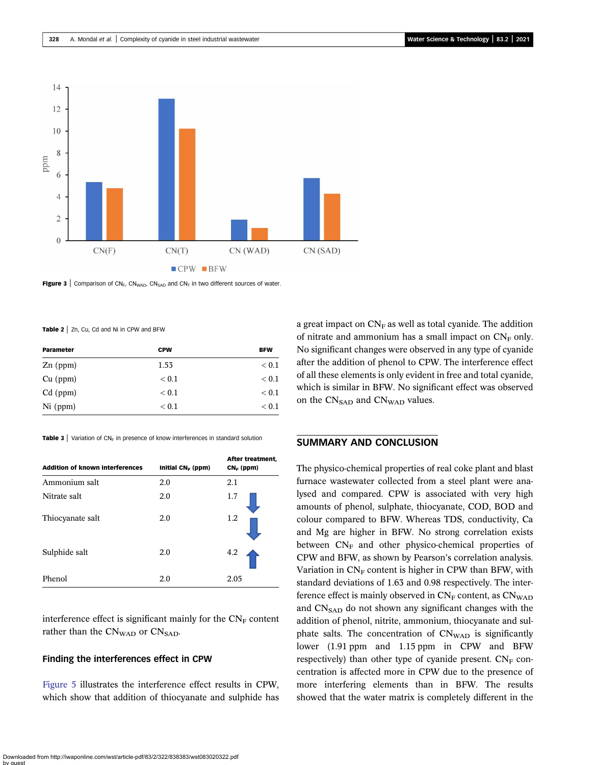<span id="page-6-0"></span>

Figure 3 | Comparison of CN<sub>F</sub>, CN<sub>WAD</sub>, CN<sub>SAD</sub> and CN<sub>T</sub> in two different sources of water.

Table 2 | Zn, Cu, Cd and Ni in CPW and BFW

| Parameter  | <b>CPW</b> | <b>BFW</b> |
|------------|------------|------------|
| $Zn$ (ppm) | 1.53       | < 0.1      |
| $Cu$ (ppm) | < 0.1      | < 0.1      |
| $Cd$ (ppm) | < 0.1      | < 0.1      |
| $Ni$ (ppm) | < 0.1      | < 0.1      |

**Table 3** Variation of  $CN_F$  in presence of know interferences in standard solution

| <b>Addition of known interferences</b> | Initial $CN_F$ (ppm) | After treatment.<br>$CN_F$ (ppm) |  |
|----------------------------------------|----------------------|----------------------------------|--|
| Ammonium salt                          | 2.0                  | 2.1                              |  |
| Nitrate salt                           | 2.0                  | 1.7                              |  |
| Thiocyanate salt                       | 2.0                  | 1.2                              |  |
| Sulphide salt                          | 2.0                  | 4.2                              |  |
| Phenol                                 | 2.0                  | 2.05                             |  |

interference effect is significant mainly for the  $CN_F$  content rather than the  $CN<sub>WAD</sub>$  or  $CN<sub>SAD</sub>$ .

### Finding the interferences effect in CPW

[Figure 5](#page-7-0) illustrates the interference effect results in CPW, which show that addition of thiocyanate and sulphide has a great impact on  $CN_F$  as well as total cyanide. The addition of nitrate and ammonium has a small impact on  $CN_F$  only. No significant changes were observed in any type of cyanide after the addition of phenol to CPW. The interference effect of all these elements is only evident in free and total cyanide, which is similar in BFW. No significant effect was observed on the CN<sub>SAD</sub> and CN<sub>WAD</sub> values.

### SUMMARY AND CONCLUSION

The physico-chemical properties of real coke plant and blast furnace wastewater collected from a steel plant were analysed and compared. CPW is associated with very high amounts of phenol, sulphate, thiocyanate, COD, BOD and colour compared to BFW. Whereas TDS, conductivity, Ca and Mg are higher in BFW. No strong correlation exists between  $CN_F$  and other physico-chemical properties of CPW and BFW, as shown by Pearson's correlation analysis. Variation in  $CN_F$  content is higher in CPW than BFW, with standard deviations of 1.63 and 0.98 respectively. The interference effect is mainly observed in  $CN_F$  content, as  $CN_{WAD}$ and  $CN<sub>SAD</sub>$  do not shown any significant changes with the addition of phenol, nitrite, ammonium, thiocyanate and sulphate salts. The concentration of  $CN<sub>WAD</sub>$  is significantly lower (1.91 ppm and 1.15 ppm in CPW and BFW respectively) than other type of cyanide present.  $CN_F$  concentration is affected more in CPW due to the presence of more interfering elements than in BFW. The results showed that the water matrix is completely different in the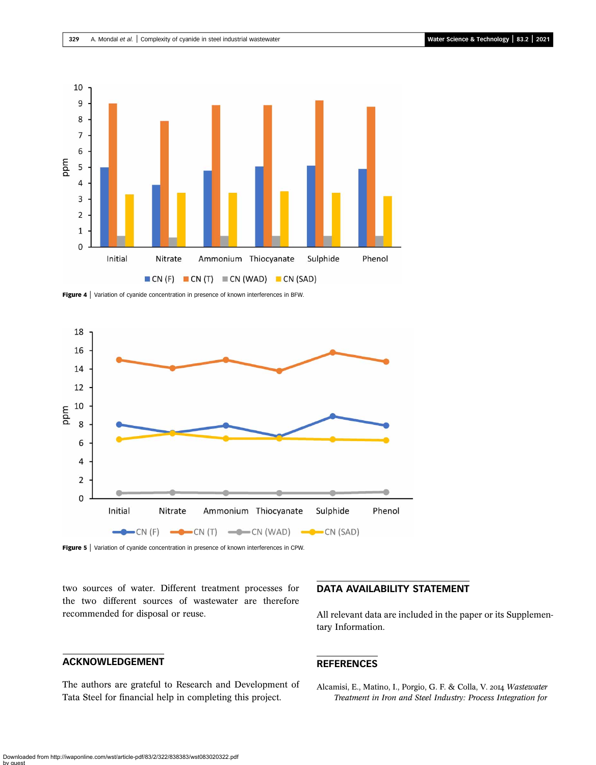<span id="page-7-0"></span>

Figure 4 | Variation of cyanide concentration in presence of known interferences in BFW.



Figure 5 | Variation of cyanide concentration in presence of known interferences in CPW.

two sources of water. Different treatment processes for the two different sources of wastewater are therefore recommended for disposal or reuse.

## ACKNOWLEDGEMENT

The authors are grateful to Research and Development of Tata Steel for financial help in completing this project.

## DATA AVAILABILITY STATEMENT

All relevant data are included in the paper or its Supplementary Information.

### REFERENCES

Alcamisi, E., Matino, I., Porgio, G. F. & Colla, V. 2014 Wastewater Treatment in Iron and Steel Industry: Process Integration for